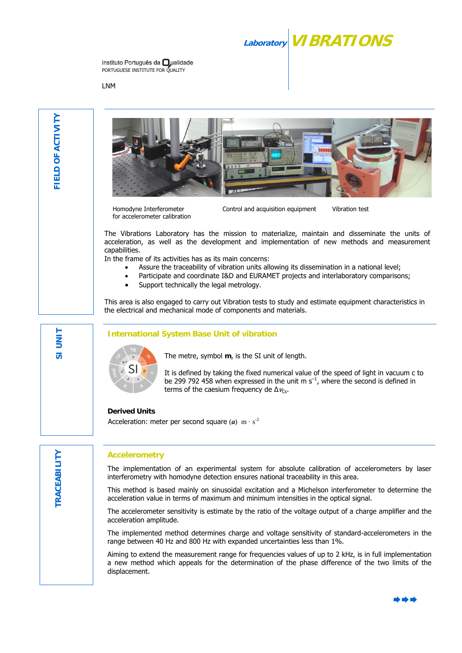## **Laboratory VIBRATIONS**

Instituto Português da **O**ualidade PORTUGUESE INSTITUTE FOR QUALITY

LNM





Homodyne Interferometer for accelerometer calibration Control and acquisition equipment Vibration test

The Vibrations Laboratory has the mission to materialize, maintain and disseminate the units of acceleration, as well as the development and implementation of new methods and measurement capabilities.

In the frame of its activities has as its main concerns:

- Assure the traceability of vibration units allowing its dissemination in a national level;
- Participate and coordinate I&D and EURAMET projects and interlaboratory comparisons;
- Support technically the legal metrology.

This area is also engaged to carry out Vibration tests to study and estimate equipment characteristics in the electrical and mechanical mode of components and materials.

## **International System Base Unit of vibration**



The metre, symbol **m**, is the SI unit of length.

It is defined by taking the fixed numerical value of the speed of light in vacuum c to be 299 792 458 when expressed in the unit m  $s^{-1}$ , where the second is defined in terms of the caesium frequency de  $\Delta v_{\text{cs}}$ .

**Derived Units**  Acceleration: meter per second square  $(a)$  m  $\cdot$  s<sup>-2</sup>

## **Accelerometry**

The implementation of an experimental system for absolute calibration of accelerometers by laser interferometry with homodyne detection ensures national traceability in this area.

This method is based mainly on sinusoidal excitation and a Michelson interferometer to determine the acceleration value in terms of maximum and minimum intensities in the optical signal.

The accelerometer sensitivity is estimate by the ratio of the voltage output of a charge amplifier and the acceleration amplitude.

The implemented method determines charge and voltage sensitivity of standard-accelerometers in the range between 40 Hz and 800 Hz with expanded uncertainties less than 1%.

Aiming to extend the measurement range for frequencies values of up to 2 kHz, is in full implementation a new method which appeals for the determination of the phase difference of the two limits of the displacement.

**SI UNIT** 

 $\overline{5}$ 

**UNIT**